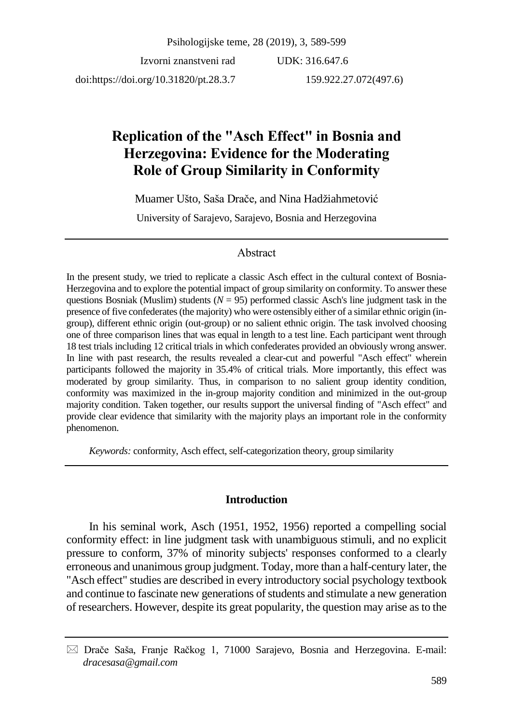Izvorni znanstveni rad doi:https://doi.org/10.31820/pt.28.3.7 UDK: 316.647.6 159.922.27.072(497.6)

# **Replication of the "Asch Effect" in Bosnia and Herzegovina: Evidence for the Moderating Role of Group Similarity in Conformity**

Muamer Ušto, Saša Drače, and Nina Hadžiahmetović

University of Sarajevo, Sarajevo, Bosnia and Herzegovina

# Abstract

In the present study, we tried to replicate a classic Asch effect in the cultural context of Bosnia-Herzegovina and to explore the potential impact of group similarity on conformity. To answer these questions Bosniak (Muslim) students  $(N = 95)$  performed classic Asch's line judgment task in the presence of five confederates (the majority) who were ostensibly either of a similar ethnic origin (ingroup), different ethnic origin (out-group) or no salient ethnic origin. The task involved choosing one of three comparison lines that was equal in length to a test line. Each participant went through 18 test trials including 12 critical trials in which confederates provided an obviously wrong answer. In line with past research, the results revealed a clear-cut and powerful "Asch effect" wherein participants followed the majority in 35.4% of critical trials. More importantly, this effect was moderated by group similarity. Thus, in comparison to no salient group identity condition, conformity was maximized in the in-group majority condition and minimized in the out-group majority condition. Taken together, our results support the universal finding of "Asch effect" and provide clear evidence that similarity with the majority plays an important role in the conformity phenomenon.

*Keywords:* conformity, Asch effect, self-categorization theory, group similarity

# **Introduction**

In his seminal work, Asch (1951, 1952, 1956) reported a compelling social conformity effect: in line judgment task with unambiguous stimuli, and no explicit pressure to conform, 37% of minority subjects' responses conformed to a clearly erroneous and unanimous group judgment. Today, more than a half-century later, the "Asch effect" studies are described in every introductory social psychology textbook and continue to fascinate new generations of students and stimulate a new generation of researchers. However, despite its great popularity, the question may arise as to the

 $\boxtimes$  Drače Saša, Franje Račkog 1, 71000 Sarajevo, Bosnia and Herzegovina. E-mail: *dracesasa@gmail.com*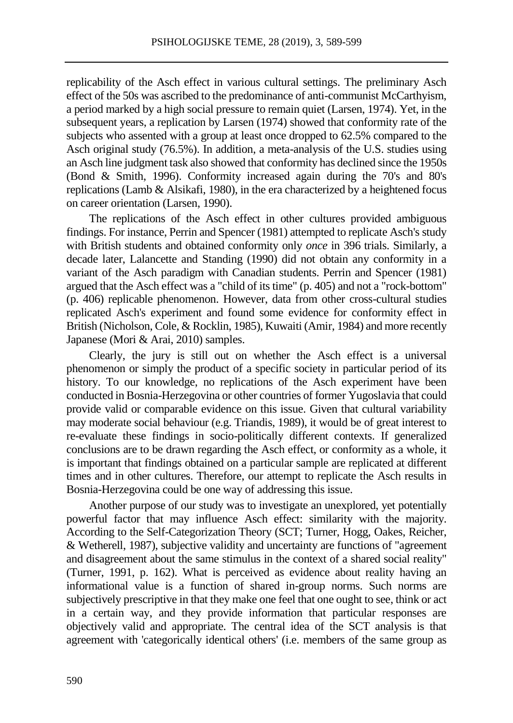replicability of the Asch effect in various cultural settings. The preliminary Asch effect of the 50s was ascribed to the predominance of anti-communist McCarthyism, a period marked by a high social pressure to remain quiet (Larsen, 1974). Yet, in the subsequent years, a replication by Larsen (1974) showed that conformity rate of the subjects who assented with a group at least once dropped to 62.5% compared to the Asch original study (76.5%). In addition, a meta-analysis of the U.S. studies using an Asch line judgment task also showed that conformity has declined since the 1950s (Bond & Smith, 1996). Conformity increased again during the 70's and 80's replications (Lamb & Alsikafi, 1980), in the era characterized by a heightened focus on career orientation (Larsen, 1990).

The replications of the Asch effect in other cultures provided ambiguous findings. For instance, Perrin and Spencer (1981) attempted to replicate Asch's study with British students and obtained conformity only *once* in 396 trials. Similarly, a decade later, Lalancette and Standing (1990) did not obtain any conformity in a variant of the Asch paradigm with Canadian students. Perrin and Spencer (1981) argued that the Asch effect was a "child of its time" (p. 405) and not a "rock-bottom" (p. 406) replicable phenomenon. However, data from other cross-cultural studies replicated Asch's experiment and found some evidence for conformity effect in British (Nicholson, Cole, & Rocklin, 1985), Kuwaiti (Amir, 1984) and more recently Japanese (Mori & Arai, 2010) samples.

Clearly, the jury is still out on whether the Asch effect is a universal phenomenon or simply the product of a specific society in particular period of its history. To our knowledge, no replications of the Asch experiment have been conducted in Bosnia-Herzegovina or other countries of former Yugoslavia that could provide valid or comparable evidence on this issue. Given that cultural variability may moderate social behaviour (e.g. Triandis, 1989), it would be of great interest to re-evaluate these findings in socio-politically different contexts. If generalized conclusions are to be drawn regarding the Asch effect, or conformity as a whole, it is important that findings obtained on a particular sample are replicated at different times and in other cultures. Therefore, our attempt to replicate the Asch results in Bosnia-Herzegovina could be one way of addressing this issue.

Another purpose of our study was to investigate an unexplored, yet potentially powerful factor that may influence Asch effect: similarity with the majority. According to the Self-Categorization Theory (SCT; Turner, Hogg, Oakes, Reicher, & Wetherell, 1987), subjective validity and uncertainty are functions of "agreement and disagreement about the same stimulus in the context of a shared social reality" (Turner, 1991, p. 162). What is perceived as evidence about reality having an informational value is a function of shared in-group norms. Such norms are subjectively prescriptive in that they make one feel that one ought to see, think or act in a certain way, and they provide information that particular responses are objectively valid and appropriate. The central idea of the SCT analysis is that agreement with 'categorically identical others' (i.e. members of the same group as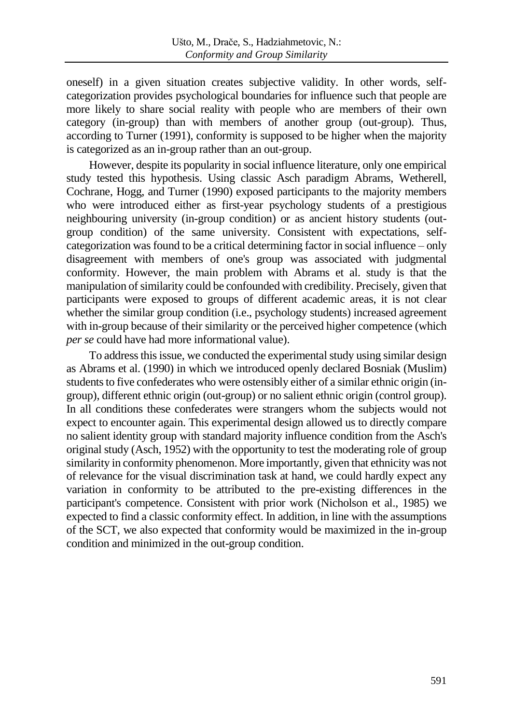oneself) in a given situation creates subjective validity. In other words, selfcategorization provides psychological boundaries for influence such that people are more likely to share social reality with people who are members of their own category (in-group) than with members of another group (out-group). Thus, according to Turner (1991), conformity is supposed to be higher when the majority is categorized as an in-group rather than an out-group.

However, despite its popularity in social influence literature, only one empirical study tested this hypothesis. Using classic Asch paradigm Abrams, Wetherell, Cochrane, Hogg, and Turner (1990) exposed participants to the majority members who were introduced either as first-year psychology students of a prestigious neighbouring university (in-group condition) or as ancient history students (outgroup condition) of the same university. Consistent with expectations, selfcategorization was found to be a critical determining factor in social influence – only disagreement with members of one's group was associated with judgmental conformity. However, the main problem with Abrams et al. study is that the manipulation of similarity could be confounded with credibility. Precisely, given that participants were exposed to groups of different academic areas, it is not clear whether the similar group condition (i.e., psychology students) increased agreement with in-group because of their similarity or the perceived higher competence (which *per se* could have had more informational value).

To address this issue, we conducted the experimental study using similar design as Abrams et al. (1990) in which we introduced openly declared Bosniak (Muslim) students to five confederates who were ostensibly either of a similar ethnic origin (ingroup), different ethnic origin (out-group) or no salient ethnic origin (control group). In all conditions these confederates were strangers whom the subjects would not expect to encounter again. This experimental design allowed us to directly compare no salient identity group with standard majority influence condition from the Asch's original study (Asch, 1952) with the opportunity to test the moderating role of group similarity in conformity phenomenon. More importantly, given that ethnicity was not of relevance for the visual discrimination task at hand, we could hardly expect any variation in conformity to be attributed to the pre-existing differences in the participant's competence. Consistent with prior work (Nicholson et al., 1985) we expected to find a classic conformity effect. In addition, in line with the assumptions of the SCT, we also expected that conformity would be maximized in the in-group condition and minimized in the out-group condition.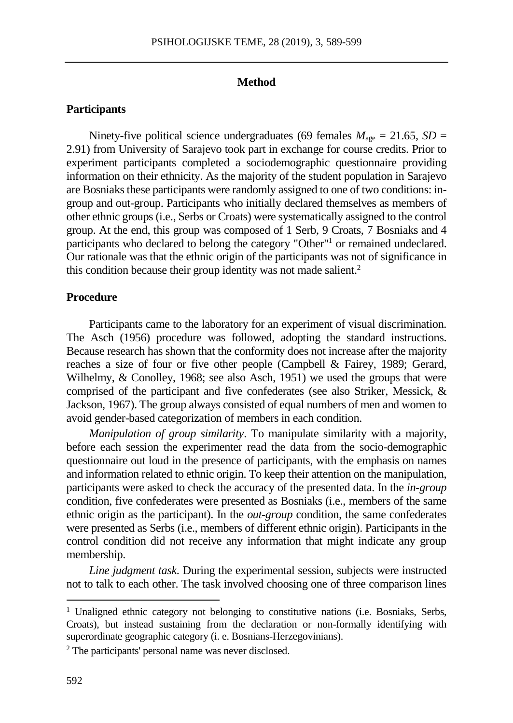#### **Method**

# **Participants**

Ninety-five political science undergraduates (69 females  $M_{\text{age}} = 21.65$ ,  $SD =$ 2.91) from University of Sarajevo took part in exchange for course credits. Prior to experiment participants completed a sociodemographic questionnaire providing information on their ethnicity. As the majority of the student population in Sarajevo are Bosniaks these participants were randomly assigned to one of two conditions: ingroup and out-group. Participants who initially declared themselves as members of other ethnic groups (i.e., Serbs or Croats) were systematically assigned to the control group. At the end, this group was composed of 1 Serb, 9 Croats, 7 Bosniaks and 4 participants who declared to belong the category "Other"<sup>1</sup> or remained undeclared. Our rationale was that the ethnic origin of the participants was not of significance in this condition because their group identity was not made salient.<sup>2</sup>

# **Procedure**

Participants came to the laboratory for an experiment of visual discrimination. The Asch (1956) procedure was followed, adopting the standard instructions. Because research has shown that the conformity does not increase after the majority reaches a size of four or five other people (Campbell & Fairey, 1989; Gerard, Wilhelmy, & Conolley, 1968; see also Asch, 1951) we used the groups that were comprised of the participant and five confederates (see also Striker, Messick, & Jackson, 1967). The group always consisted of equal numbers of men and women to avoid gender-based categorization of members in each condition.

*Manipulation of group similarity*. To manipulate similarity with a majority, before each session the experimenter read the data from the socio-demographic questionnaire out loud in the presence of participants, with the emphasis on names and information related to ethnic origin. To keep their attention on the manipulation, participants were asked to check the accuracy of the presented data. In the *in-group*  condition, five confederates were presented as Bosniaks (i.e., members of the same ethnic origin as the participant). In the *out-group* condition, the same confederates were presented as Serbs (i.e., members of different ethnic origin). Participants in the control condition did not receive any information that might indicate any group membership.

*Line judgment task*. During the experimental session, subjects were instructed not to talk to each other. The task involved choosing one of three comparison lines

 $\overline{a}$ 

<sup>&</sup>lt;sup>1</sup> Unaligned ethnic category not belonging to constitutive nations (i.e. Bosniaks, Serbs, Croats), but instead sustaining from the declaration or non-formally identifying with superordinate geographic category (i. e. Bosnians-Herzegovinians).

<sup>2</sup> The participants' personal name was never disclosed.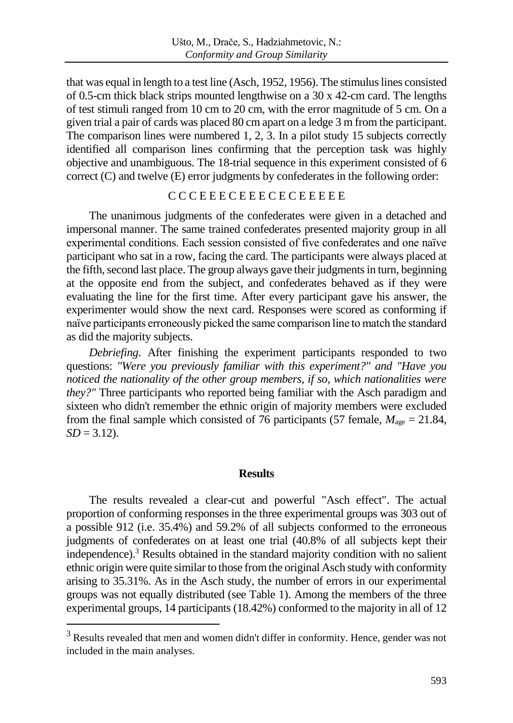that was equal in length to a test line (Asch, 1952, 1956). The stimulus lines consisted of 0.5-cm thick black strips mounted lengthwise on a 30 x 42-cm card. The lengths of test stimuli ranged from 10 cm to 20 cm, with the error magnitude of 5 cm. On a given trial a pair of cards was placed 80 cm apart on a ledge 3 m from the participant. The comparison lines were numbered 1, 2, 3. In a pilot study 15 subjects correctly identified all comparison lines confirming that the perception task was highly objective and unambiguous. The 18-trial sequence in this experiment consisted of 6 correct (C) and twelve (E) error judgments by confederates in the following order:

# C C C E E E C E E E C E C E E E E E

The unanimous judgments of the confederates were given in a detached and impersonal manner. The same trained confederates presented majority group in all experimental conditions. Each session consisted of five confederates and one naïve participant who sat in a row, facing the card. The participants were always placed at the fifth, second last place. The group always gave their judgments in turn, beginning at the opposite end from the subject, and confederates behaved as if they were evaluating the line for the first time. After every participant gave his answer, the experimenter would show the next card. Responses were scored as conforming if naïve participants erroneously picked the same comparison line to match the standard as did the majority subjects.

*Debriefing*. After finishing the experiment participants responded to two questions: *"Were you previously familiar with this experiment?" and "Have you noticed the nationality of the other group members, if so, which nationalities were they?"* Three participants who reported being familiar with the Asch paradigm and sixteen who didn't remember the ethnic origin of majority members were excluded from the final sample which consisted of 76 participants (57 female,  $M_{\text{age}} = 21.84$ ,  $SD = 3.12$ .

#### **Results**

The results revealed a clear-cut and powerful "Asch effect". The actual proportion of conforming responses in the three experimental groups was 303 out of a possible 912 (i.e. 35.4%) and 59.2% of all subjects conformed to the erroneous judgments of confederates on at least one trial (40.8% of all subjects kept their independence).<sup>3</sup> Results obtained in the standard majority condition with no salient ethnic origin were quite similar to those from the original Asch study with conformity arising to 35.31%. As in the Asch study, the number of errors in our experimental groups was not equally distributed (see Table 1). Among the members of the three experimental groups, 14 participants (18.42%) conformed to the majority in all of 12

 $\overline{a}$ 

<sup>3</sup> Results revealed that men and women didn't differ in conformity. Hence, gender was not included in the main analyses.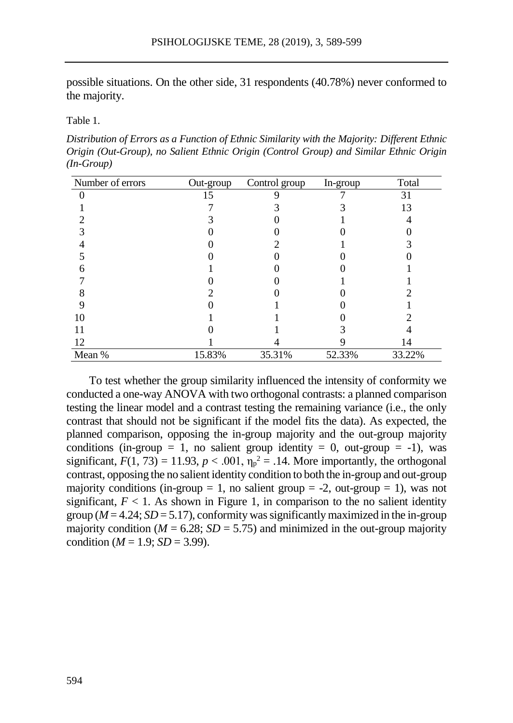possible situations. On the other side, 31 respondents (40.78%) never conformed to the majority.

#### Table 1.

*Distribution of Errors as a Function of Ethnic Similarity with the Majority: Different Ethnic Origin (Out-Group), no Salient Ethnic Origin (Control Group) and Similar Ethnic Origin (In-Group)*

| Number of errors | Out-group | Control group | In-group | Total  |
|------------------|-----------|---------------|----------|--------|
|                  | 15        |               |          | 31     |
|                  |           |               |          | 13     |
|                  |           |               |          |        |
|                  |           |               |          |        |
|                  |           |               |          |        |
|                  |           |               |          |        |
|                  |           |               |          |        |
|                  |           |               |          |        |
|                  |           |               |          |        |
|                  |           |               |          |        |
| 10               |           |               |          |        |
|                  |           |               |          |        |
| 12               |           |               |          | 14     |
| Mean %           | 15.83%    | 35.31%        | 52.33%   | 33.22% |

To test whether the group similarity influenced the intensity of conformity we conducted a one-way ANOVA with two orthogonal contrasts: a planned comparison testing the linear model and a contrast testing the remaining variance (i.e., the only contrast that should not be significant if the model fits the data). As expected, the planned comparison, opposing the in-group majority and the out-group majority conditions (in-group = 1, no salient group identity = 0, out-group = -1), was significant,  $F(1, 73) = 11.93$ ,  $p < .001$ ,  $\eta_p^2 = .14$ . More importantly, the orthogonal contrast, opposing the no salient identity condition to both the in-group and out-group majority conditions (in-group = 1, no salient group = -2, out-group = 1), was not significant,  $F < 1$ . As shown in Figure 1, in comparison to the no salient identity group ( $M = 4.24$ ;  $SD = 5.17$ ), conformity was significantly maximized in the in-group majority condition ( $M = 6.28$ ;  $SD = 5.75$ ) and minimized in the out-group majority condition ( $M = 1.9$ ; *SD* = 3.99).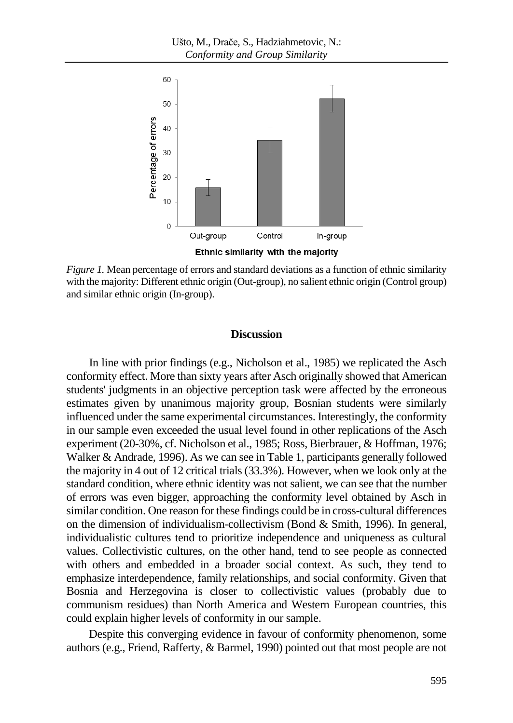

*Figure 1.* Mean percentage of errors and standard deviations as a function of ethnic similarity with the majority: Different ethnic origin (Out-group), no salient ethnic origin (Control group) and similar ethnic origin (In-group).

# **Discussion**

In line with prior findings (e.g., Nicholson et al., 1985) we replicated the Asch conformity effect. More than sixty years after Asch originally showed that American students' judgments in an objective perception task were affected by the erroneous estimates given by unanimous majority group, Bosnian students were similarly influenced under the same experimental circumstances. Interestingly, the conformity in our sample even exceeded the usual level found in other replications of the Asch experiment (20-30%, cf. Nicholson et al., 1985; Ross, Bierbrauer, & Hoffman, 1976; Walker & Andrade, 1996). As we can see in Table 1, participants generally followed the majority in 4 out of 12 critical trials (33.3%). However, when we look only at the standard condition, where ethnic identity was not salient, we can see that the number of errors was even bigger, approaching the conformity level obtained by Asch in similar condition. One reason for these findings could be in cross-cultural differences on the dimension of individualism-collectivism (Bond & Smith, 1996). In general, individualistic cultures tend to prioritize independence and uniqueness as cultural values. Collectivistic cultures, on the other hand, tend to see people as connected with others and embedded in a broader social context. As such, they tend to emphasize interdependence, family relationships, and social conformity. Given that Bosnia and Herzegovina is closer to collectivistic values (probably due to communism residues) than North America and Western European countries, this could explain higher levels of conformity in our sample.

Despite this converging evidence in favour of conformity phenomenon, some authors (e.g., Friend, Rafferty, & Barmel, 1990) pointed out that most people are not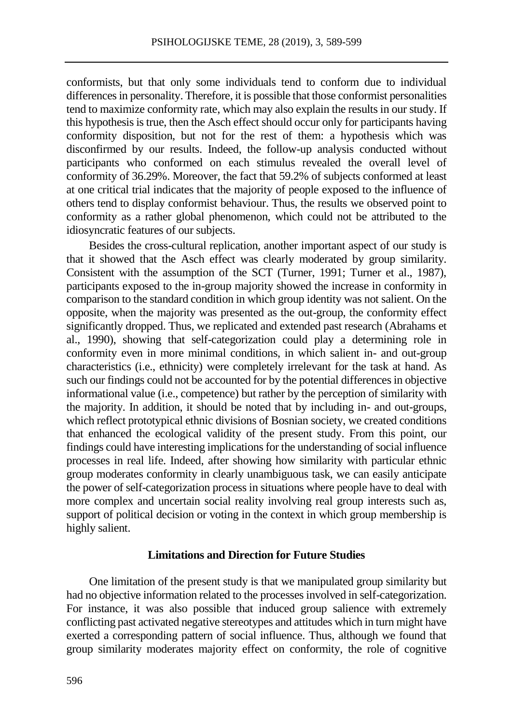conformists, but that only some individuals tend to conform due to individual differences in personality. Therefore, it is possible that those conformist personalities tend to maximize conformity rate, which may also explain the results in our study. If this hypothesis is true, then the Asch effect should occur only for participants having conformity disposition, but not for the rest of them: a hypothesis which was disconfirmed by our results. Indeed, the follow-up analysis conducted without participants who conformed on each stimulus revealed the overall level of conformity of 36.29%. Moreover, the fact that 59.2% of subjects conformed at least at one critical trial indicates that the majority of people exposed to the influence of others tend to display conformist behaviour. Thus, the results we observed point to conformity as a rather global phenomenon, which could not be attributed to the idiosyncratic features of our subjects.

Besides the cross-cultural replication, another important aspect of our study is that it showed that the Asch effect was clearly moderated by group similarity. Consistent with the assumption of the SCT (Turner, 1991; Turner et al., 1987), participants exposed to the in-group majority showed the increase in conformity in comparison to the standard condition in which group identity was not salient. On the opposite, when the majority was presented as the out-group, the conformity effect significantly dropped. Thus, we replicated and extended past research (Abrahams et al., 1990), showing that self-categorization could play a determining role in conformity even in more minimal conditions, in which salient in- and out-group characteristics (i.e., ethnicity) were completely irrelevant for the task at hand. As such our findings could not be accounted for by the potential differences in objective informational value (i.e., competence) but rather by the perception of similarity with the majority. In addition, it should be noted that by including in- and out-groups, which reflect prototypical ethnic divisions of Bosnian society, we created conditions that enhanced the ecological validity of the present study. From this point, our findings could have interesting implications for the understanding of social influence processes in real life. Indeed, after showing how similarity with particular ethnic group moderates conformity in clearly unambiguous task, we can easily anticipate the power of self-categorization process in situations where people have to deal with more complex and uncertain social reality involving real group interests such as, support of political decision or voting in the context in which group membership is highly salient.

### **Limitations and Direction for Future Studies**

One limitation of the present study is that we manipulated group similarity but had no objective information related to the processes involved in self-categorization. For instance, it was also possible that induced group salience with extremely conflicting past activated negative stereotypes and attitudes which in turn might have exerted a corresponding pattern of social influence. Thus, although we found that group similarity moderates majority effect on conformity, the role of cognitive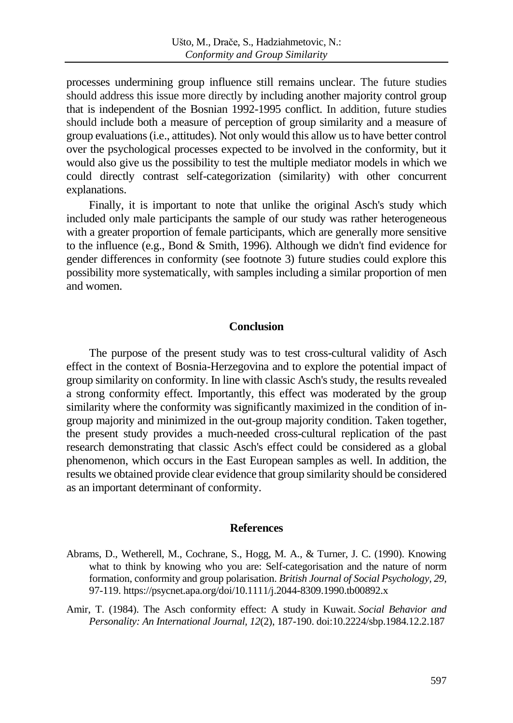processes undermining group influence still remains unclear. The future studies should address this issue more directly by including another majority control group that is independent of the Bosnian 1992-1995 conflict. In addition, future studies should include both a measure of perception of group similarity and a measure of group evaluations (i.e., attitudes). Not only would this allow us to have better control over the psychological processes expected to be involved in the conformity, but it would also give us the possibility to test the multiple mediator models in which we could directly contrast self-categorization (similarity) with other concurrent explanations.

Finally, it is important to note that unlike the original Asch's study which included only male participants the sample of our study was rather heterogeneous with a greater proportion of female participants, which are generally more sensitive to the influence (e.g., Bond & Smith, 1996). Although we didn't find evidence for gender differences in conformity (see footnote 3) future studies could explore this possibility more systematically, with samples including a similar proportion of men and women.

## **Conclusion**

The purpose of the present study was to test cross-cultural validity of Asch effect in the context of Bosnia-Herzegovina and to explore the potential impact of group similarity on conformity. In line with classic Asch's study, the results revealed a strong conformity effect. Importantly, this effect was moderated by the group similarity where the conformity was significantly maximized in the condition of ingroup majority and minimized in the out-group majority condition. Taken together, the present study provides a much-needed cross-cultural replication of the past research demonstrating that classic Asch's effect could be considered as a global phenomenon, which occurs in the East European samples as well. In addition, the results we obtained provide clear evidence that group similarity should be considered as an important determinant of conformity.

#### **References**

- Abrams, D., Wetherell, M., Cochrane, S., Hogg, M. A., & Turner, J. C. (1990). Knowing what to think by knowing who you are: Self-categorisation and the nature of norm formation, conformity and group polarisation. *British Journal of Social Psychology, 29,*  97-119. https://psycnet.apa.org/doi/10.1111/j.2044-8309.1990.tb00892.x
- Amir, T. (1984). The Asch conformity effect: A study in Kuwait. *Social Behavior and Personality: An International Journal, 12*(2), 187-190. doi:10.2224/sbp.1984.12.2.187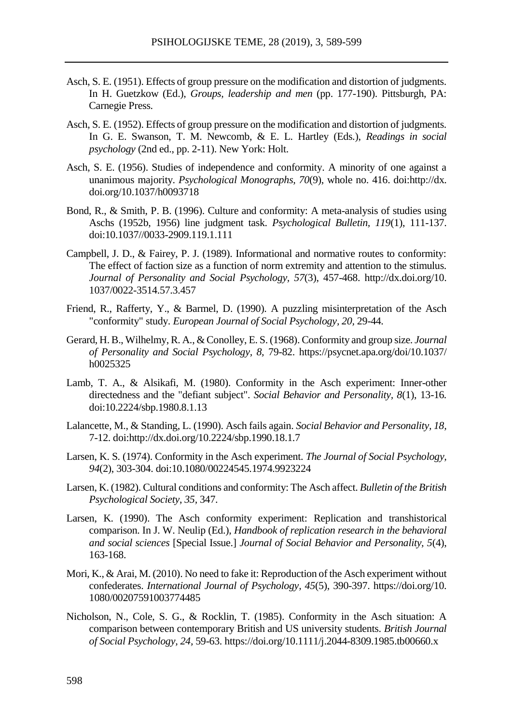- Asch, S. E. (1951). Effects of group pressure on the modification and distortion of judgments. In H. Guetzkow (Ed.), *Groups, leadership and men* (pp. 177-190). Pittsburgh, PA: Carnegie Press.
- Asch, S. E. (1952). Effects of group pressure on the modification and distortion of judgments. In G. E. Swanson, T. M. Newcomb, & E. L. Hartley (Eds.), *Readings in social psychology* (2nd ed., pp. 2-11). New York: Holt.
- Asch, S. E. (1956). Studies of independence and conformity. A minority of one against a unanimous majority. *Psychological Monographs, 70*(9), whole no. 416. doi:http://dx. doi.org/10.1037/h0093718
- Bond, R., & Smith, P. B. (1996). Culture and conformity: A meta-analysis of studies using Aschs (1952b, 1956) line judgment task. *Psychological Bulletin, 119*(1), 111-137. doi:10.1037//0033-2909.119.1.111
- Campbell, J. D., & Fairey, P. J. (1989). Informational and normative routes to conformity: The effect of faction size as a function of norm extremity and attention to the stimulus. *Journal of Personality and Social Psychology, 57*(3), 457-468. http://dx.doi.org/10. 1037/0022-3514.57.3.457
- Friend, R., Rafferty, Y., & Barmel, D. (1990). A puzzling misinterpretation of the Asch "conformity" study. *European Journal of Social Psychology, 20,* 29-44*.*
- Gerard, H. B., Wilhelmy, R. A., & Conolley, E. S. (1968). Conformity and group size. *Journal of Personality and Social Psychology, 8,* 79-82. https://psycnet.apa.org/doi/10.1037/ h0025325
- Lamb, T. A., & Alsikafi, M. (1980). Conformity in the Asch experiment: Inner-other directedness and the "defiant subject". *Social Behavior and Personality, 8*(1), 13-16*.* doi:10.2224/sbp.1980.8.1.13
- Lalancette, M., & Standing, L. (1990). Asch fails again. *Social Behavior and Personality, 18,*  7-12. doi:http://dx.doi.org/10.2224/sbp.1990.18.1.7
- Larsen, K. S. (1974). Conformity in the Asch experiment. *The Journal of Social Psychology, 94*(2), 303-304. doi:10.1080/00224545.1974.9923224
- Larsen, K. (1982). Cultural conditions and conformity: The Asch affect. *Bulletin of the British Psychological Society*, *35,* 347.
- Larsen, K. (1990). The Asch conformity experiment: Replication and transhistorical comparison. In J. W. Neulip (Ed.), *Handbook of replication research in the behavioral and social sciences* [Special Issue.] *Journal of Social Behavior and Personality, 5*(4), 163-168.
- Mori, K., & Arai, M. (2010). No need to fake it: Reproduction of the Asch experiment without confederates. *International Journal of Psychology, 45*(5), 390-397. https://doi.org/10. 1080/00207591003774485
- Nicholson, N., Cole, S. G., & Rocklin, T. (1985). Conformity in the Asch situation: A comparison between contemporary British and US university students. *British Journal of Social Psychology, 24,* 59-63. https://doi.org/10.1111/j.2044-8309.1985.tb00660.x